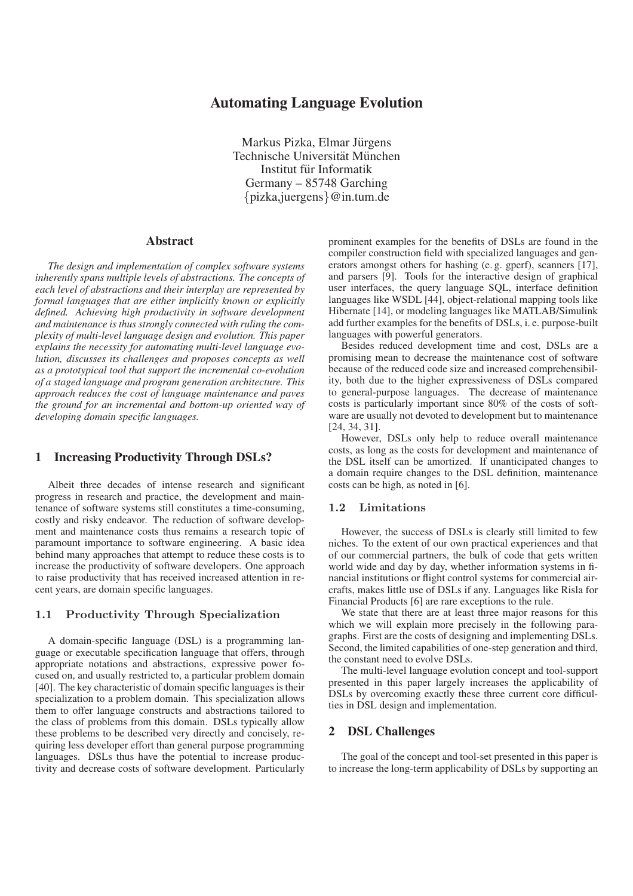# **Automating Language Evolution**

Markus Pizka, Elmar Jürgens Technische Universität München Institut für Informatik Germany – 85748 Garching {pizka,juergens}@in.tum.de

### **Abstract**

*The design and implementation of complex software systems inherently spans multiple levels of abstractions. The concepts of each level of abstractions and their interplay are represented by formal languages that are either implicitly known or explicitly defined. Achieving high productivity in software development and maintenance is thus strongly connected with ruling the complexity of multi-level language design and evolution. This paper explains the necessity for automating multi-level language evolution, discusses its challenges and proposes concepts as well as a prototypical tool that support the incremental co-evolution of a staged language and program generation architecture. This approach reduces the cost of language maintenance and paves the ground for an incremental and bottom-up oriented way of developing domain specific languages.*

### **1 Increasing Productivity Through DSLs?**

Albeit three decades of intense research and significant progress in research and practice, the development and maintenance of software systems still constitutes a time-consuming, costly and risky endeavor. The reduction of software development and maintenance costs thus remains a research topic of paramount importance to software engineering. A basic idea behind many approaches that attempt to reduce these costs is to increase the productivity of software developers. One approach to raise productivity that has received increased attention in recent years, are domain specific languages.

# **1.1 Productivity Through Specialization**

A domain-specific language (DSL) is a programming language or executable specification language that offers, through appropriate notations and abstractions, expressive power focused on, and usually restricted to, a particular problem domain [40]. The key characteristic of domain specific languages is their specialization to a problem domain. This specialization allows them to offer language constructs and abstractions tailored to the class of problems from this domain. DSLs typically allow these problems to be described very directly and concisely, requiring less developer effort than general purpose programming languages. DSLs thus have the potential to increase productivity and decrease costs of software development. Particularly prominent examples for the benefits of DSLs are found in the compiler construction field with specialized languages and generators amongst others for hashing (e. g. gperf), scanners [17], and parsers [9]. Tools for the interactive design of graphical user interfaces, the query language SQL, interface definition languages like WSDL [44], object-relational mapping tools like Hibernate [14], or modeling languages like MATLAB/Simulink add further examples for the benefits of DSLs, i. e. purpose-built languages with powerful generators.

Besides reduced development time and cost, DSLs are a promising mean to decrease the maintenance cost of software because of the reduced code size and increased comprehensibility, both due to the higher expressiveness of DSLs compared to general-purpose languages. The decrease of maintenance costs is particularly important since 80% of the costs of software are usually not devoted to development but to maintenance [24, 34, 31].

However, DSLs only help to reduce overall maintenance costs, as long as the costs for development and maintenance of the DSL itself can be amortized. If unanticipated changes to a domain require changes to the DSL definition, maintenance costs can be high, as noted in [6].

### **1.2 Limitations**

However, the success of DSLs is clearly still limited to few niches. To the extent of our own practical experiences and that of our commercial partners, the bulk of code that gets written world wide and day by day, whether information systems in financial institutions or flight control systems for commercial aircrafts, makes little use of DSLs if any. Languages like Risla for Financial Products [6] are rare exceptions to the rule.

We state that there are at least three major reasons for this which we will explain more precisely in the following paragraphs. First are the costs of designing and implementing DSLs. Second, the limited capabilities of one-step generation and third, the constant need to evolve DSLs.

The multi-level language evolution concept and tool-support presented in this paper largely increases the applicability of DSLs by overcoming exactly these three current core difficulties in DSL design and implementation.

### **2 DSL Challenges**

The goal of the concept and tool-set presented in this paper is to increase the long-term applicability of DSLs by supporting an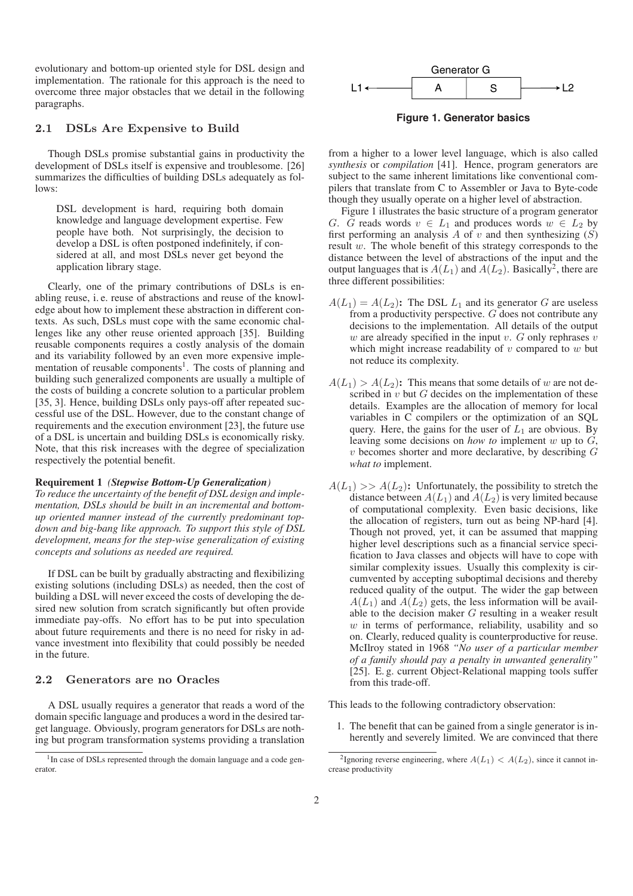evolutionary and bottom-up oriented style for DSL design and implementation. The rationale for this approach is the need to overcome three major obstacles that we detail in the following paragraphs.

## **2.1 DSLs Are Expensive to Build**

Though DSLs promise substantial gains in productivity the development of DSLs itself is expensive and troublesome. [26] summarizes the difficulties of building DSLs adequately as follows:

DSL development is hard, requiring both domain knowledge and language development expertise. Few people have both. Not surprisingly, the decision to develop a DSL is often postponed indefinitely, if considered at all, and most DSLs never get beyond the application library stage.

Clearly, one of the primary contributions of DSLs is enabling reuse, i. e. reuse of abstractions and reuse of the knowledge about how to implement these abstraction in different contexts. As such, DSLs must cope with the same economic challenges like any other reuse oriented approach [35]. Building reusable components requires a costly analysis of the domain and its variability followed by an even more expensive implementation of reusable components<sup>1</sup>. The costs of planning and building such generalized components are usually a multiple of the costs of building a concrete solution to a particular problem [35, 3]. Hence, building DSLs only pays-off after repeated successful use of the DSL. However, due to the constant change of requirements and the execution environment [23], the future use of a DSL is uncertain and building DSLs is economically risky. Note, that this risk increases with the degree of specialization respectively the potential benefit.

#### **Requirement 1** *(Stepwise Bottom-Up Generalization)*

*To reduce the uncertainty of the benefit of DSL design and implementation, DSLs should be built in an incremental and bottomup oriented manner instead of the currently predominant topdown and big-bang like approach. To support this style of DSL development, means for the step-wise generalization of existing concepts and solutions as needed are required.*

If DSL can be built by gradually abstracting and flexibilizing existing solutions (including DSLs) as needed, then the cost of building a DSL will never exceed the costs of developing the desired new solution from scratch significantly but often provide immediate pay-offs. No effort has to be put into speculation about future requirements and there is no need for risky in advance investment into flexibility that could possibly be needed in the future.

### **2.2 Generators are no Oracles**

A DSL usually requires a generator that reads a word of the domain specific language and produces a word in the desired target language. Obviously, program generators for DSLs are nothing but program transformation systems providing a translation



**Figure 1. Generator basics**

from a higher to a lower level language, which is also called *synthesis* or *compilation* [41]. Hence, program generators are subject to the same inherent limitations like conventional compilers that translate from C to Assembler or Java to Byte-code though they usually operate on a higher level of abstraction.

Figure 1 illustrates the basic structure of a program generator *G*. *G* reads words  $v \in L_1$  and produces words  $w \in L_2$  by first performing an analysis  $A$  of  $v$  and then synthesizing  $(S)$ result *w*. The whole benefit of this strategy corresponds to the distance between the level of abstractions of the input and the output languages that is  $A(L_1)$  and  $A(L_2)$ . Basically<sup>2</sup>, there are three different possibilities:

- $A(L_1) = A(L_2)$ : The DSL  $L_1$  and its generator *G* are useless from a productivity perspective. *G* does not contribute any decisions to the implementation. All details of the output *w* are already specified in the input *v*. *G* only rephrases *v* which might increase readability of *v* compared to *w* but not reduce its complexity.
- $A(L_1) > A(L_2)$ : This means that some details of *w* are not described in *v* but *G* decides on the implementation of these details. Examples are the allocation of memory for local variables in C compilers or the optimization of an SQL query. Here, the gains for the user of  $L_1$  are obvious. By leaving some decisions on *how to* implement *w* up to *G*, *v* becomes shorter and more declarative, by describing *G what to* implement.
- $A(L_1) \gg A(L_2)$ : Unfortunately, the possibility to stretch the distance between  $A(L_1)$  and  $A(L_2)$  is very limited because of computational complexity. Even basic decisions, like the allocation of registers, turn out as being NP-hard [4]. Though not proved, yet, it can be assumed that mapping higher level descriptions such as a financial service specification to Java classes and objects will have to cope with similar complexity issues. Usually this complexity is circumvented by accepting suboptimal decisions and thereby reduced quality of the output. The wider the gap between  $A(L_1)$  and  $A(L_2)$  gets, the less information will be available to the decision maker *G* resulting in a weaker result *w* in terms of performance, reliability, usability and so on. Clearly, reduced quality is counterproductive for reuse. McIlroy stated in 1968 *"No user of a particular member of a family should pay a penalty in unwanted generality"* [25]. E. g. current Object-Relational mapping tools suffer from this trade-off.

This leads to the following contradictory observation:

1. The benefit that can be gained from a single generator is inherently and severely limited. We are convinced that there

<sup>&</sup>lt;sup>1</sup>In case of DSLs represented through the domain language and a code generator.

<sup>&</sup>lt;sup>2</sup>Ignoring reverse engineering, where  $A(L_1) < A(L_2)$ , since it cannot increase productivity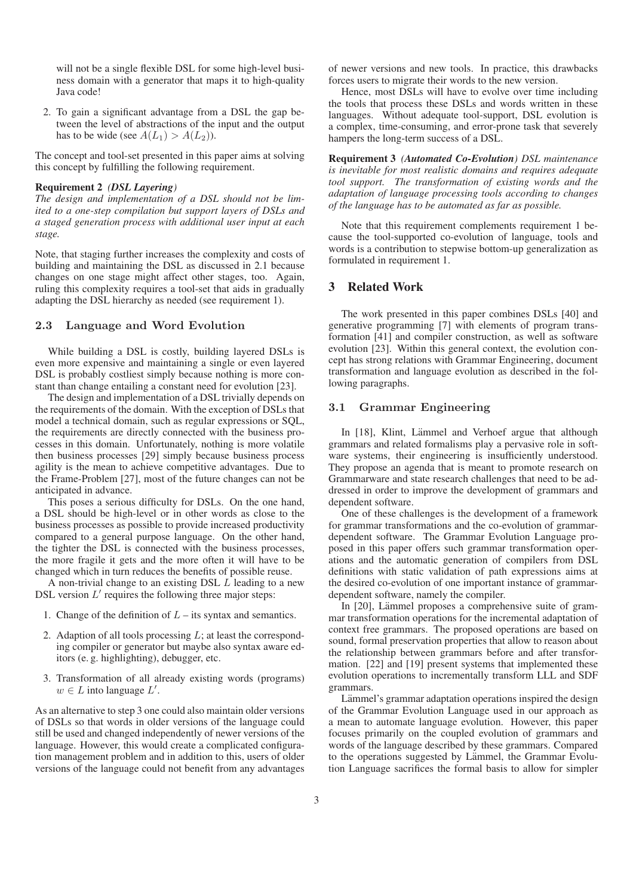will not be a single flexible DSL for some high-level business domain with a generator that maps it to high-quality Java code!

2. To gain a significant advantage from a DSL the gap between the level of abstractions of the input and the output has to be wide (see  $A(L_1) > A(L_2)$ ).

The concept and tool-set presented in this paper aims at solving this concept by fulfilling the following requirement.

#### **Requirement 2** *(DSL Layering)*

*The design and implementation of a DSL should not be limited to a one-step compilation but support layers of DSLs and a staged generation process with additional user input at each stage.*

Note, that staging further increases the complexity and costs of building and maintaining the DSL as discussed in 2.1 because changes on one stage might affect other stages, too. Again, ruling this complexity requires a tool-set that aids in gradually adapting the DSL hierarchy as needed (see requirement 1).

### **2.3 Language and Word Evolution**

While building a DSL is costly, building layered DSLs is even more expensive and maintaining a single or even layered DSL is probably costliest simply because nothing is more constant than change entailing a constant need for evolution [23].

The design and implementation of a DSL trivially depends on the requirements of the domain. With the exception of DSLs that model a technical domain, such as regular expressions or SQL, the requirements are directly connected with the business processes in this domain. Unfortunately, nothing is more volatile then business processes [29] simply because business process agility is the mean to achieve competitive advantages. Due to the Frame-Problem [27], most of the future changes can not be anticipated in advance.

This poses a serious difficulty for DSLs. On the one hand, a DSL should be high-level or in other words as close to the business processes as possible to provide increased productivity compared to a general purpose language. On the other hand, the tighter the DSL is connected with the business processes, the more fragile it gets and the more often it will have to be changed which in turn reduces the benefits of possible reuse.

A non-trivial change to an existing DSL *L* leading to a new DSL version *L'* requires the following three major steps:

- 1. Change of the definition of *L* its syntax and semantics.
- 2. Adaption of all tools processing *L*; at least the corresponding compiler or generator but maybe also syntax aware editors (e. g. highlighting), debugger, etc.
- 3. Transformation of all already existing words (programs)  $w \in L$  into language  $L'$ .

As an alternative to step 3 one could also maintain older versions of DSLs so that words in older versions of the language could still be used and changed independently of newer versions of the language. However, this would create a complicated configuration management problem and in addition to this, users of older versions of the language could not benefit from any advantages of newer versions and new tools. In practice, this drawbacks forces users to migrate their words to the new version.

Hence, most DSLs will have to evolve over time including the tools that process these DSLs and words written in these languages. Without adequate tool-support, DSL evolution is a complex, time-consuming, and error-prone task that severely hampers the long-term success of a DSL.

**Requirement 3** *(Automated Co-Evolution) DSL maintenance is inevitable for most realistic domains and requires adequate tool support. The transformation of existing words and the adaptation of language processing tools according to changes of the language has to be automated as far as possible.*

Note that this requirement complements requirement 1 because the tool-supported co-evolution of language, tools and words is a contribution to stepwise bottom-up generalization as formulated in requirement 1.

# **3 Related Work**

The work presented in this paper combines DSLs [40] and generative programming [7] with elements of program transformation [41] and compiler construction, as well as software evolution [23]. Within this general context, the evolution concept has strong relations with Grammar Engineering, document transformation and language evolution as described in the following paragraphs.

### **3.1 Grammar Engineering**

In [18], Klint, Lämmel and Verhoef argue that although grammars and related formalisms play a pervasive role in software systems, their engineering is insufficiently understood. They propose an agenda that is meant to promote research on Grammarware and state research challenges that need to be addressed in order to improve the development of grammars and dependent software.

One of these challenges is the development of a framework for grammar transformations and the co-evolution of grammardependent software. The Grammar Evolution Language proposed in this paper offers such grammar transformation operations and the automatic generation of compilers from DSL definitions with static validation of path expressions aims at the desired co-evolution of one important instance of grammardependent software, namely the compiler.

In [20], Lämmel proposes a comprehensive suite of grammar transformation operations for the incremental adaptation of context free grammars. The proposed operations are based on sound, formal preservation properties that allow to reason about the relationship between grammars before and after transformation. [22] and [19] present systems that implemented these evolution operations to incrementally transform LLL and SDF grammars.

Lämmel's grammar adaptation operations inspired the design of the Grammar Evolution Language used in our approach as a mean to automate language evolution. However, this paper focuses primarily on the coupled evolution of grammars and words of the language described by these grammars. Compared to the operations suggested by Lämmel, the Grammar Evolution Language sacrifices the formal basis to allow for simpler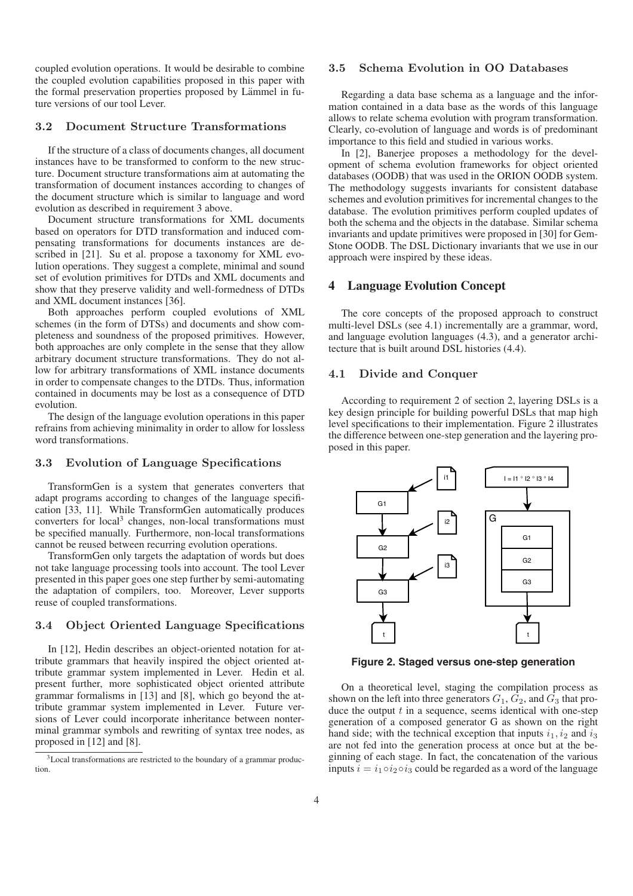coupled evolution operations. It would be desirable to combine the coupled evolution capabilities proposed in this paper with the formal preservation properties proposed by Lämmel in future versions of our tool Lever.

## **3.2 Document Structure Transformations**

If the structure of a class of documents changes, all document instances have to be transformed to conform to the new structure. Document structure transformations aim at automating the transformation of document instances according to changes of the document structure which is similar to language and word evolution as described in requirement 3 above.

Document structure transformations for XML documents based on operators for DTD transformation and induced compensating transformations for documents instances are described in [21]. Su et al. propose a taxonomy for XML evolution operations. They suggest a complete, minimal and sound set of evolution primitives for DTDs and XML documents and show that they preserve validity and well-formedness of DTDs and XML document instances [36].

Both approaches perform coupled evolutions of XML schemes (in the form of DTSs) and documents and show completeness and soundness of the proposed primitives. However, both approaches are only complete in the sense that they allow arbitrary document structure transformations. They do not allow for arbitrary transformations of XML instance documents in order to compensate changes to the DTDs. Thus, information contained in documents may be lost as a consequence of DTD evolution.

The design of the language evolution operations in this paper refrains from achieving minimality in order to allow for lossless word transformations.

### **3.3 Evolution of Language Specifications**

TransformGen is a system that generates converters that adapt programs according to changes of the language specification [33, 11]. While TransformGen automatically produces converters for  $local<sup>3</sup>$  changes, non-local transformations must be specified manually. Furthermore, non-local transformations cannot be reused between recurring evolution operations.

TransformGen only targets the adaptation of words but does not take language processing tools into account. The tool Lever presented in this paper goes one step further by semi-automating the adaptation of compilers, too. Moreover, Lever supports reuse of coupled transformations.

### **3.4 Object Oriented Language Specifications**

In [12], Hedin describes an object-oriented notation for attribute grammars that heavily inspired the object oriented attribute grammar system implemented in Lever. Hedin et al. present further, more sophisticated object oriented attribute grammar formalisms in [13] and [8], which go beyond the attribute grammar system implemented in Lever. Future versions of Lever could incorporate inheritance between nonterminal grammar symbols and rewriting of syntax tree nodes, as proposed in [12] and [8].

# **3.5 Schema Evolution in OO Databases**

Regarding a data base schema as a language and the information contained in a data base as the words of this language allows to relate schema evolution with program transformation. Clearly, co-evolution of language and words is of predominant importance to this field and studied in various works.

In [2], Banerjee proposes a methodology for the development of schema evolution frameworks for object oriented databases (OODB) that was used in the ORION OODB system. The methodology suggests invariants for consistent database schemes and evolution primitives for incremental changes to the database. The evolution primitives perform coupled updates of both the schema and the objects in the database. Similar schema invariants and update primitives were proposed in [30] for Gem-Stone OODB. The DSL Dictionary invariants that we use in our approach were inspired by these ideas.

### **4 Language Evolution Concept**

The core concepts of the proposed approach to construct multi-level DSLs (see 4.1) incrementally are a grammar, word, and language evolution languages (4.3), and a generator architecture that is built around DSL histories (4.4).

#### **4.1 Divide and Conquer**

According to requirement 2 of section 2, layering DSLs is a key design principle for building powerful DSLs that map high level specifications to their implementation. Figure 2 illustrates the difference between one-step generation and the layering proposed in this paper.



**Figure 2. Staged versus one-step generation**

On a theoretical level, staging the compilation process as shown on the left into three generators  $G_1$ ,  $G_2$ , and  $G_3$  that produce the output *t* in a sequence, seems identical with one-step generation of a composed generator G as shown on the right hand side; with the technical exception that inputs  $i_1$ ,  $i_2$  and  $i_3$ are not fed into the generation process at once but at the beginning of each stage. In fact, the concatenation of the various inputs  $i = i_1 \circ i_2 \circ i_3$  could be regarded as a word of the language

<sup>&</sup>lt;sup>3</sup>Local transformations are restricted to the boundary of a grammar production.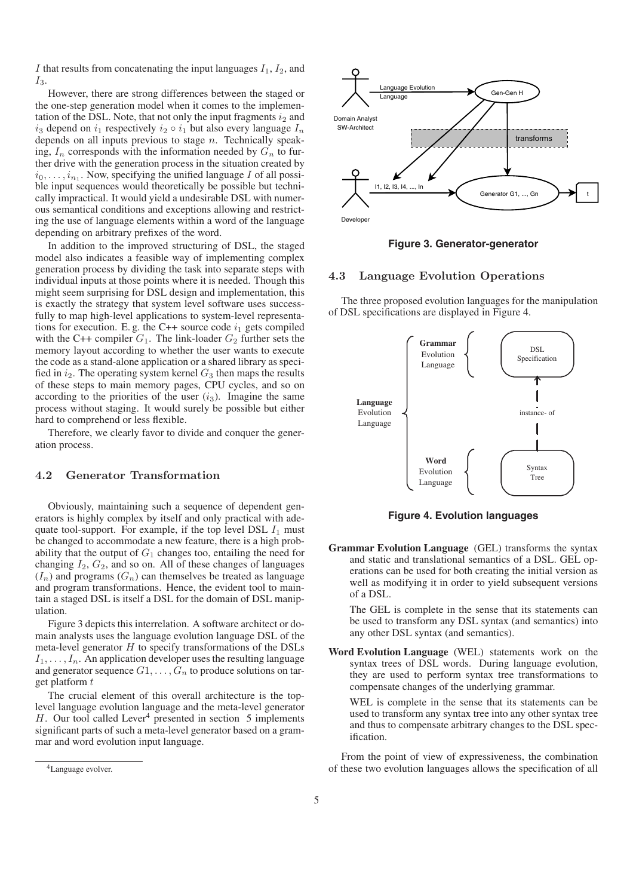*I* that results from concatenating the input languages  $I_1$ ,  $I_2$ , and *I*3.

However, there are strong differences between the staged or the one-step generation model when it comes to the implementation of the DSL. Note, that not only the input fragments  $i_2$  and  $i_3$  depend on  $i_1$  respectively  $i_2 \circ i_1$  but also every language  $I_n$ depends on all inputs previous to stage *n*. Technically speaking,  $I_n$  corresponds with the information needed by  $G_n$  to further drive with the generation process in the situation created by  $i_0, \ldots, i_{n_1}$ . Now, specifying the unified language *I* of all possible input sequences would theoretically be possible but technically impractical. It would yield a undesirable DSL with numerous semantical conditions and exceptions allowing and restricting the use of language elements within a word of the language depending on arbitrary prefixes of the word.

In addition to the improved structuring of DSL, the staged model also indicates a feasible way of implementing complex generation process by dividing the task into separate steps with individual inputs at those points where it is needed. Though this might seem surprising for DSL design and implementation, this is exactly the strategy that system level software uses successfully to map high-level applications to system-level representations for execution. E. g. the C++ source code  $i_1$  gets compiled with the C++ compiler  $G_1$ . The link-loader  $G_2$  further sets the memory layout according to whether the user wants to execute the code as a stand-alone application or a shared library as specified in  $i_2$ . The operating system kernel  $G_3$  then maps the results of these steps to main memory pages, CPU cycles, and so on according to the priorities of the user  $(i_3)$ . Imagine the same process without staging. It would surely be possible but either hard to comprehend or less flexible.

Therefore, we clearly favor to divide and conquer the generation process.

### **4.2 Generator Transformation**

Obviously, maintaining such a sequence of dependent generators is highly complex by itself and only practical with adequate tool-support. For example, if the top level DSL  $I_1$  must be changed to accommodate a new feature, there is a high probability that the output of  $G_1$  changes too, entailing the need for changing *I*2, *G*2, and so on. All of these changes of languages  $(I_n)$  and programs  $(G_n)$  can themselves be treated as language and program transformations. Hence, the evident tool to maintain a staged DSL is itself a DSL for the domain of DSL manipulation.

Figure 3 depicts this interrelation. A software architect or domain analysts uses the language evolution language DSL of the meta-level generator *H* to specify transformations of the DSLs  $I_1, \ldots, I_n$ . An application developer uses the resulting language and generator sequence  $G_1, \ldots, G_n$  to produce solutions on target platform *t*

The crucial element of this overall architecture is the toplevel language evolution language and the meta-level generator  $H$ . Our tool called Lever<sup>4</sup> presented in section 5 implements significant parts of such a meta-level generator based on a grammar and word evolution input language.



**Figure 3. Generator-generator**

#### **4.3 Language Evolution Operations**

The three proposed evolution languages for the manipulation of DSL specifications are displayed in Figure 4.



**Figure 4. Evolution languages**

**Grammar Evolution Language** (GEL) transforms the syntax and static and translational semantics of a DSL. GEL operations can be used for both creating the initial version as well as modifying it in order to yield subsequent versions of a DSL.

The GEL is complete in the sense that its statements can be used to transform any DSL syntax (and semantics) into any other DSL syntax (and semantics).

**Word Evolution Language** (WEL) statements work on the syntax trees of DSL words. During language evolution, they are used to perform syntax tree transformations to compensate changes of the underlying grammar.

WEL is complete in the sense that its statements can be used to transform any syntax tree into any other syntax tree and thus to compensate arbitrary changes to the DSL specification.

From the point of view of expressiveness, the combination of these two evolution languages allows the specification of all

<sup>4</sup>Language evolver.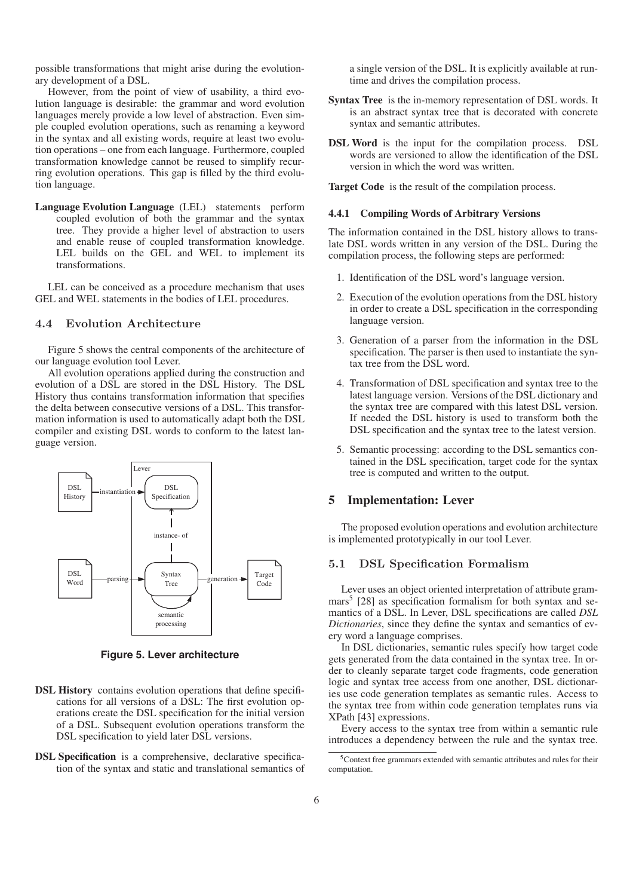possible transformations that might arise during the evolutionary development of a DSL.

However, from the point of view of usability, a third evolution language is desirable: the grammar and word evolution languages merely provide a low level of abstraction. Even simple coupled evolution operations, such as renaming a keyword in the syntax and all existing words, require at least two evolution operations – one from each language. Furthermore, coupled transformation knowledge cannot be reused to simplify recurring evolution operations. This gap is filled by the third evolution language.

**Language Evolution Language** (LEL) statements perform coupled evolution of both the grammar and the syntax tree. They provide a higher level of abstraction to users and enable reuse of coupled transformation knowledge. LEL builds on the GEL and WEL to implement its transformations.

LEL can be conceived as a procedure mechanism that uses GEL and WEL statements in the bodies of LEL procedures.

### **4.4 Evolution Architecture**

Figure 5 shows the central components of the architecture of our language evolution tool Lever.

All evolution operations applied during the construction and evolution of a DSL are stored in the DSL History. The DSL History thus contains transformation information that specifies the delta between consecutive versions of a DSL. This transformation information is used to automatically adapt both the DSL compiler and existing DSL words to conform to the latest language version.



**Figure 5. Lever architecture**

- **DSL History** contains evolution operations that define specifications for all versions of a DSL: The first evolution operations create the DSL specification for the initial version of a DSL. Subsequent evolution operations transform the DSL specification to yield later DSL versions.
- **DSL Specification** is a comprehensive, declarative specification of the syntax and static and translational semantics of

a single version of the DSL. It is explicitly available at runtime and drives the compilation process.

- **Syntax Tree** is the in-memory representation of DSL words. It is an abstract syntax tree that is decorated with concrete syntax and semantic attributes.
- **DSL Word** is the input for the compilation process. DSL words are versioned to allow the identification of the DSL version in which the word was written.

**Target Code** is the result of the compilation process.

#### **4.4.1 Compiling Words of Arbitrary Versions**

The information contained in the DSL history allows to translate DSL words written in any version of the DSL. During the compilation process, the following steps are performed:

- 1. Identification of the DSL word's language version.
- 2. Execution of the evolution operations from the DSL history in order to create a DSL specification in the corresponding language version.
- 3. Generation of a parser from the information in the DSL specification. The parser is then used to instantiate the syntax tree from the DSL word.
- 4. Transformation of DSL specification and syntax tree to the latest language version. Versions of the DSL dictionary and the syntax tree are compared with this latest DSL version. If needed the DSL history is used to transform both the DSL specification and the syntax tree to the latest version.
- 5. Semantic processing: according to the DSL semantics contained in the DSL specification, target code for the syntax tree is computed and written to the output.

### **5 Implementation: Lever**

The proposed evolution operations and evolution architecture is implemented prototypically in our tool Lever.

# **5.1 DSL Specification Formalism**

Lever uses an object oriented interpretation of attribute gram $mars<sup>5</sup>$  [28] as specification formalism for both syntax and semantics of a DSL. In Lever, DSL specifications are called *DSL Dictionaries*, since they define the syntax and semantics of every word a language comprises.

In DSL dictionaries, semantic rules specify how target code gets generated from the data contained in the syntax tree. In order to cleanly separate target code fragments, code generation logic and syntax tree access from one another, DSL dictionaries use code generation templates as semantic rules. Access to the syntax tree from within code generation templates runs via XPath [43] expressions.

Every access to the syntax tree from within a semantic rule introduces a dependency between the rule and the syntax tree.

<sup>5</sup>Context free grammars extended with semantic attributes and rules for their computation.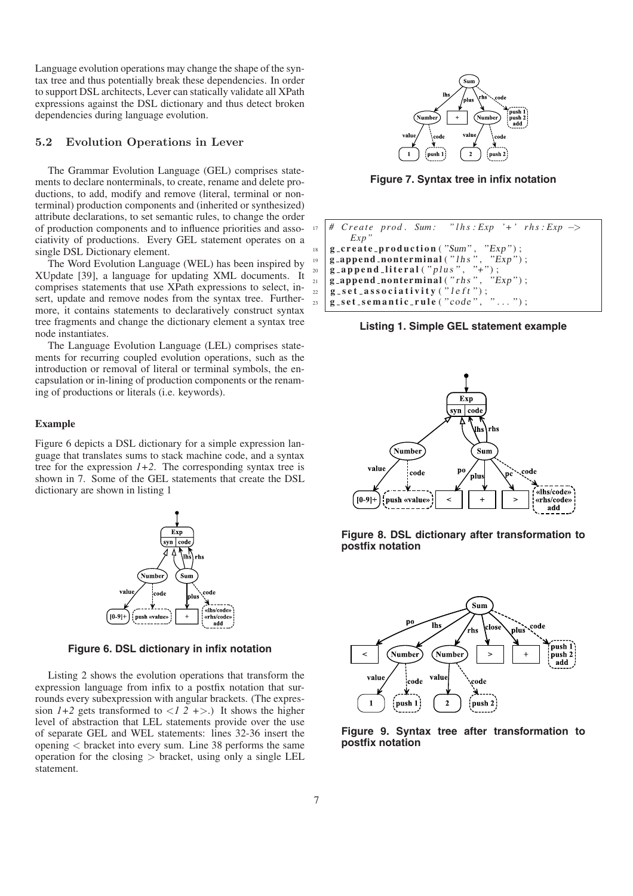Language evolution operations may change the shape of the syntax tree and thus potentially break these dependencies. In order to support DSL architects, Lever can statically validate all XPath expressions against the DSL dictionary and thus detect broken dependencies during language evolution.

#### **5.2 Evolution Operations in Lever**

The Grammar Evolution Language (GEL) comprises statements to declare nonterminals, to create, rename and delete productions, to add, modify and remove (literal, terminal or nonterminal) production components and (inherited or synthesized) attribute declarations, to set semantic rules, to change the order of production components and to influence priorities and associativity of productions. Every GEL statement operates on a single DSL Dictionary element.

The Word Evolution Language (WEL) has been inspired by XUpdate [39], a language for updating XML documents. It comprises statements that use XPath expressions to select, insert, update and remove nodes from the syntax tree. Furthermore, it contains statements to declaratively construct syntax tree fragments and change the dictionary element a syntax tree node instantiates.

The Language Evolution Language (LEL) comprises statements for recurring coupled evolution operations, such as the introduction or removal of literal or terminal symbols, the encapsulation or in-lining of production components or the renaming of productions or literals (i.e. keywords).

#### **Example**

Figure 6 depicts a DSL dictionary for a simple expression language that translates sums to stack machine code, and a syntax tree for the expression  $1+2$ . The corresponding syntax tree is shown in 7. Some of the GEL statements that create the DSL dictionary are shown in listing 1



**Figure 6. DSL dictionary in infix notation**

Listing 2 shows the evolution operations that transform the expression language from infix to a postfix notation that surrounds every subexpression with angular brackets. (The expression  $1+2$  gets transformed to  $\langle 1 \ 2 \ + \rangle$ .) It shows the higher level of abstraction that LEL statements provide over the use of separate GEL and WEL statements: lines 32-36 insert the opening *<* bracket into every sum. Line 38 performs the same operation for the closing *>* bracket, using only a single LEL statement.



**Figure 7. Syntax tree in infix notation**

| $_{17}$  # Create prod. Sum: "lhs:Exp '+' rhs:Exp $\rightarrow$ |
|-----------------------------------------------------------------|
| $Exp$ "                                                         |
| $_{18}$   g_create_production ("Sum", "Exp");                   |
| $_{19}$   g_append_nonterminal ("lhs", "Exp");                  |
| 20   $\mathbf{g}$ _ append _ literal ("plus", "+");             |
| $_{21}$   g_append_nonterminal ("rhs", "Exp");                  |
| $_{22}$   g_set_associativity ("left");                         |
| $_{23}$   g_set_semantic_rule ("code", "");                     |
|                                                                 |

**Listing 1. Simple GEL statement example**







**Figure 9. Syntax tree after transformation to postfix notation**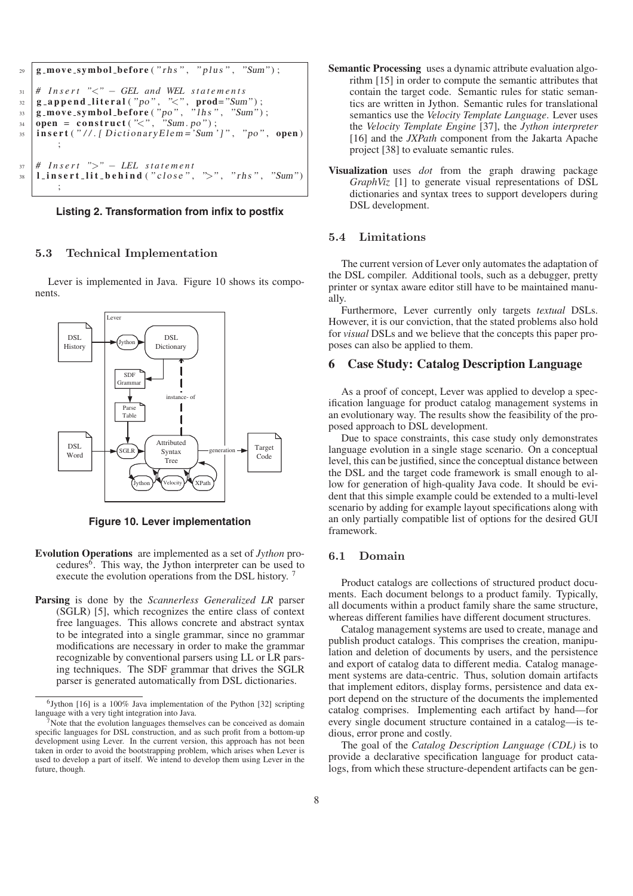```
29 g move symbol before ( "rhs" , "plus" , "Sum" ) ;
\begin{array}{c|c|c|c|c} \mathbf{31} & \text{# Insert } "<" - GEL \text{ and WEL statements} \ \mathbf{32} & \text{append literal}("no", "<". \ \mathbf{33} & \text{model"Sum} \end{array}32 g append literal ( "po" , "<" , prod="Sum" ) ;
33 g move symbol before ( "po" , "lhs" , "Sum" ) ;
34 open = construct ( "<" , "Sum . po " ) ;
35 insert ("//. [ Dictionary Elem = 'Sum']", "po", open)
           ;
37 # Insert ">" − LEL st at e m e nt
    38 l insert lit behind ( "close" , ">" , "rhs" , "Sum" )
           ;
```
**Listing 2. Transformation from infix to postfix**

#### **5.3 Technical Implementation**

Lever is implemented in Java. Figure 10 shows its components.



**Figure 10. Lever implementation**

- **Evolution Operations** are implemented as a set of *Jython* procedures<sup>6</sup>. This way, the Jython interpreter can be used to execute the evolution operations from the DSL history.<sup>7</sup>
- **Parsing** is done by the *Scannerless Generalized LR* parser (SGLR) [5], which recognizes the entire class of context free languages. This allows concrete and abstract syntax to be integrated into a single grammar, since no grammar modifications are necessary in order to make the grammar recognizable by conventional parsers using LL or LR parsing techniques. The SDF grammar that drives the SGLR parser is generated automatically from DSL dictionaries.
- **Semantic Processing** uses a dynamic attribute evaluation algorithm [15] in order to compute the semantic attributes that contain the target code. Semantic rules for static semantics are written in Jython. Semantic rules for translational semantics use the *Velocity Template Language*. Lever uses the *Velocity Template Engine* [37], the *Jython interpreter* [16] and the *JXPath* component from the Jakarta Apache project [38] to evaluate semantic rules.
- **Visualization** uses *dot* from the graph drawing package *GraphViz* [1] to generate visual representations of DSL dictionaries and syntax trees to support developers during DSL development.

# **5.4 Limitations**

The current version of Lever only automates the adaptation of the DSL compiler. Additional tools, such as a debugger, pretty printer or syntax aware editor still have to be maintained manually.

Furthermore, Lever currently only targets *textual* DSLs. However, it is our conviction, that the stated problems also hold for *visual* DSLs and we believe that the concepts this paper proposes can also be applied to them.

# **6 Case Study: Catalog Description Language**

As a proof of concept, Lever was applied to develop a specification language for product catalog management systems in an evolutionary way. The results show the feasibility of the proposed approach to DSL development.

Due to space constraints, this case study only demonstrates language evolution in a single stage scenario. On a conceptual level, this can be justified, since the conceptual distance between the DSL and the target code framework is small enough to allow for generation of high-quality Java code. It should be evident that this simple example could be extended to a multi-level scenario by adding for example layout specifications along with an only partially compatible list of options for the desired GUI framework.

## **6.1 Domain**

Product catalogs are collections of structured product documents. Each document belongs to a product family. Typically, all documents within a product family share the same structure, whereas different families have different document structures.

Catalog management systems are used to create, manage and publish product catalogs. This comprises the creation, manipulation and deletion of documents by users, and the persistence and export of catalog data to different media. Catalog management systems are data-centric. Thus, solution domain artifacts that implement editors, display forms, persistence and data export depend on the structure of the documents the implemented catalog comprises. Implementing each artifact by hand—for every single document structure contained in a catalog—is tedious, error prone and costly.

The goal of the *Catalog Description Language (CDL)* is to provide a declarative specification language for product catalogs, from which these structure-dependent artifacts can be gen-

 $6$ Jython [16] is a 100% Java implementation of the Python [32] scripting language with a very tight integration into Java.

<sup>7</sup>Note that the evolution languages themselves can be conceived as domain specific languages for DSL construction, and as such profit from a bottom-up development using Lever. In the current version, this approach has not been taken in order to avoid the bootstrapping problem, which arises when Lever is used to develop a part of itself. We intend to develop them using Lever in the future, though.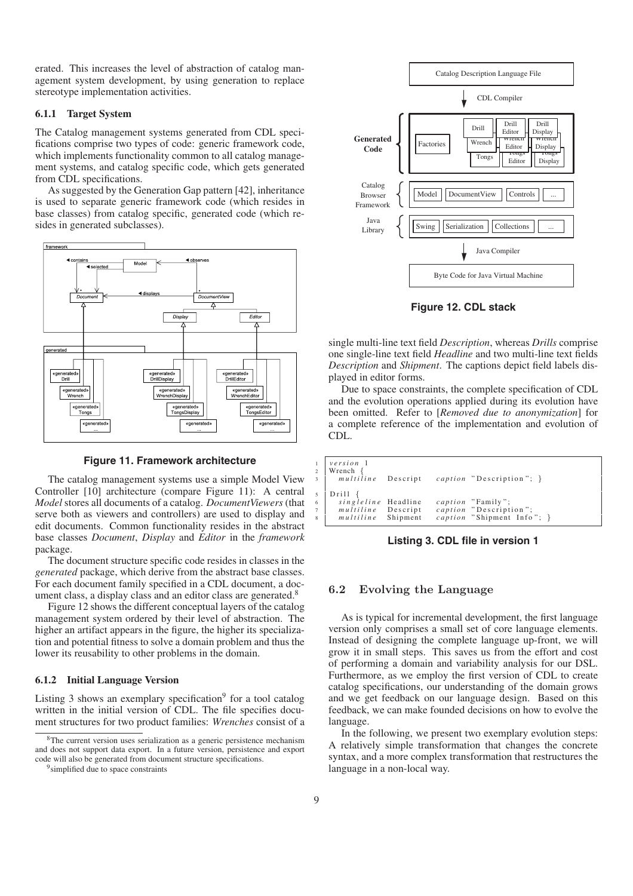erated. This increases the level of abstraction of catalog management system development, by using generation to replace stereotype implementation activities.

### **6.1.1 Target System**

The Catalog management systems generated from CDL specifications comprise two types of code: generic framework code, which implements functionality common to all catalog management systems, and catalog specific code, which gets generated from CDL specifications.

As suggested by the Generation Gap pattern [42], inheritance is used to separate generic framework code (which resides in base classes) from catalog specific, generated code (which resides in generated subclasses).



### **Figure 11. Framework architecture**

The catalog management systems use a simple Model View Controller [10] architecture (compare Figure 11): A central *Model* stores all documents of a catalog. *DocumentViewers* (that serve both as viewers and controllers) are used to display and edit documents. Common functionality resides in the abstract base classes *Document*, *Display* and *Editor* in the *framework* package.

The document structure specific code resides in classes in the *generated* package, which derive from the abstract base classes. For each document family specified in a CDL document, a document class, a display class and an editor class are generated.<sup>8</sup>

Figure 12 shows the different conceptual layers of the catalog management system ordered by their level of abstraction. The higher an artifact appears in the figure, the higher its specialization and potential fitness to solve a domain problem and thus the lower its reusability to other problems in the domain.

#### **6.1.2 Initial Language Version**

Listing 3 shows an exemplary specification<sup>9</sup> for a tool catalog written in the initial version of CDL. The file specifies document structures for two product families: *Wrenches* consist of a

<sup>9</sup>simplified due to space constraints



**Figure 12. CDL stack**

single multi-line text field *Description*, whereas *Drills* comprise one single-line text field *Headline* and two multi-line text fields *Description* and *Shipment*. The captions depict field labels displayed in editor forms.

Due to space constraints, the complete specification of CDL and the evolution operations applied during its evolution have been omitted. Refer to [*Removed due to anonymization*] for a complete reference of the implementation and evolution of CDL.

|   | version 1                  |          |                               |  |
|---|----------------------------|----------|-------------------------------|--|
|   | 2   Wrench {               |          |                               |  |
|   | 3   multiline Descript     |          | caption "Description"; }      |  |
|   | $Drill$ {                  |          |                               |  |
| 6 | <i>singleline</i> Headline |          | <i>caption</i> "Family";      |  |
| 7 | multiline Descript         |          | <i>caption</i> "Description"; |  |
| 8 | multiline                  | Shipment | caption "Shipment Info"; }    |  |
|   |                            |          |                               |  |

**Listing 3. CDL file in version 1**

# **6.2 Evolving the Language**

As is typical for incremental development, the first language version only comprises a small set of core language elements. Instead of designing the complete language up-front, we will grow it in small steps. This saves us from the effort and cost of performing a domain and variability analysis for our DSL. Furthermore, as we employ the first version of CDL to create catalog specifications, our understanding of the domain grows and we get feedback on our language design. Based on this feedback, we can make founded decisions on how to evolve the language.

In the following, we present two exemplary evolution steps: A relatively simple transformation that changes the concrete syntax, and a more complex transformation that restructures the language in a non-local way.

<sup>8</sup>The current version uses serialization as a generic persistence mechanism and does not support data export. In a future version, persistence and export code will also be generated from document structure specifications.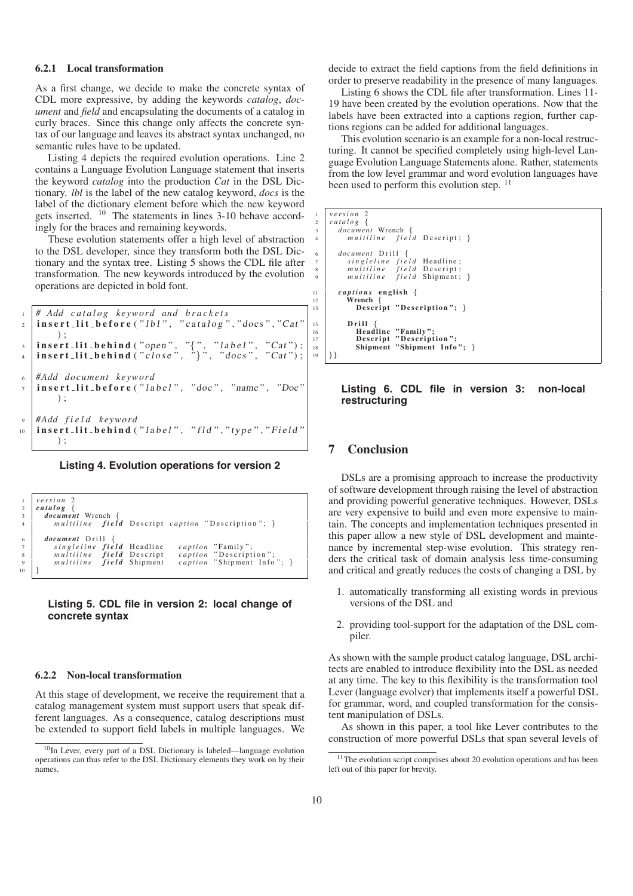#### **6.2.1 Local transformation**

As a first change, we decide to make the concrete syntax of CDL more expressive, by adding the keywords *catalog*, *document* and *field* and encapsulating the documents of a catalog in curly braces. Since this change only affects the concrete syntax of our language and leaves its abstract syntax unchanged, no semantic rules have to be updated.

Listing 4 depicts the required evolution operations. Line 2 contains a Language Evolution Language statement that inserts the keyword *catalog* into the production *Cat* in the DSL Dictionary. *lbl* is the label of the new catalog keyword, *docs* is the label of the dictionary element before which the new keyword gets inserted. <sup>10</sup> The statements in lines 3-10 behave accordingly for the braces and remaining keywords.

These evolution statements offer a high level of abstraction to the DSL developer, since they transform both the DSL Dictionary and the syntax tree. Listing 5 shows the CDL file after transformation. The new keywords introduced by the evolution operations are depicted in bold font.

```
1 # Add c at al o g keyword and b r a ckets
2 insert lit before ( "lbl" , "catalog" , "docs" , "Cat"
       \cdot3 insert lit behind ( "open" , "{" , "label" , "Cat" ) ;
4 insert lit behind ( "close" , "}" , "docs" , "Cat" ) ;
6 #Add document keyword
7 insert lit before ( "label" , "doc" , "name" , "Doc"
       ) ;
   9 #Add f i e l d keyword
10 insert lit behind ( "label" , "fld" , "type" , "Field"
        ) ;
```
#### **Listing 4. Evolution operations for version 2**

| version 2                       |                                                   |
|---------------------------------|---------------------------------------------------|
| $catalog \{$                    |                                                   |
| <i>document</i> Wrench {        |                                                   |
|                                 | multiline field Descript caption "Description"; } |
|                                 |                                                   |
| $document$ Drill {              |                                                   |
| singleline field Headline       | <i>caption</i> "Family";                          |
| multiline field Descript        | caption "Description":                            |
| <i>multiline</i> field Shipment | caption "Shipment Info"; }                        |
|                                 |                                                   |

#### **Listing 5. CDL file in version 2: local change of concrete syntax**

#### **6.2.2 Non-local transformation**

At this stage of development, we receive the requirement that a catalog management system must support users that speak different languages. As a consequence, catalog descriptions must be extended to support field labels in multiple languages. We decide to extract the field captions from the field definitions in order to preserve readability in the presence of many languages.

Listing 6 shows the CDL file after transformation. Lines 11- 19 have been created by the evolution operations. Now that the labels have been extracted into a captions region, further captions regions can be added for additional languages.

This evolution scenario is an example for a non-local restructuring. It cannot be specified completely using high-level Language Evolution Language Statements alone. Rather, statements from the low level grammar and word evolution languages have been used to perform this evolution step.  $^{11}$ 

```
1 version 2
     2 catalog {
3 document Wrench {
           multiline field Descript; }
 6 document Drill {
7 singleline field Headline ;
8 multiline field Descript ;
9 multiline field Shipment ; }
11 captions english {
12 Wrench {
13 Descript "Description "; }
15 Drill {
16 Headline "Family ";
17 Descript "Description ";
18 State of Texture 18 Shipment Info "; }
    19 }}
```
**Listing 6. CDL file in version 3: non-local restructuring**

### **7 Conclusion**

DSLs are a promising approach to increase the productivity of software development through raising the level of abstraction and providing powerful generative techniques. However, DSLs are very expensive to build and even more expensive to maintain. The concepts and implementation techniques presented in this paper allow a new style of DSL development and maintenance by incremental step-wise evolution. This strategy renders the critical task of domain analysis less time-consuming and critical and greatly reduces the costs of changing a DSL by

- 1. automatically transforming all existing words in previous versions of the DSL and
- 2. providing tool-support for the adaptation of the DSL compiler.

As shown with the sample product catalog language, DSL architects are enabled to introduce flexibility into the DSL as needed at any time. The key to this flexibility is the transformation tool Lever (language evolver) that implements itself a powerful DSL for grammar, word, and coupled transformation for the consistent manipulation of DSLs.

As shown in this paper, a tool like Lever contributes to the construction of more powerful DSLs that span several levels of

<sup>&</sup>lt;sup>10</sup>In Lever, every part of a DSL Dictionary is labeled—language evolution operations can thus refer to the DSL Dictionary elements they work on by their names.

 $11$ The evolution script comprises about 20 evolution operations and has been left out of this paper for brevity.